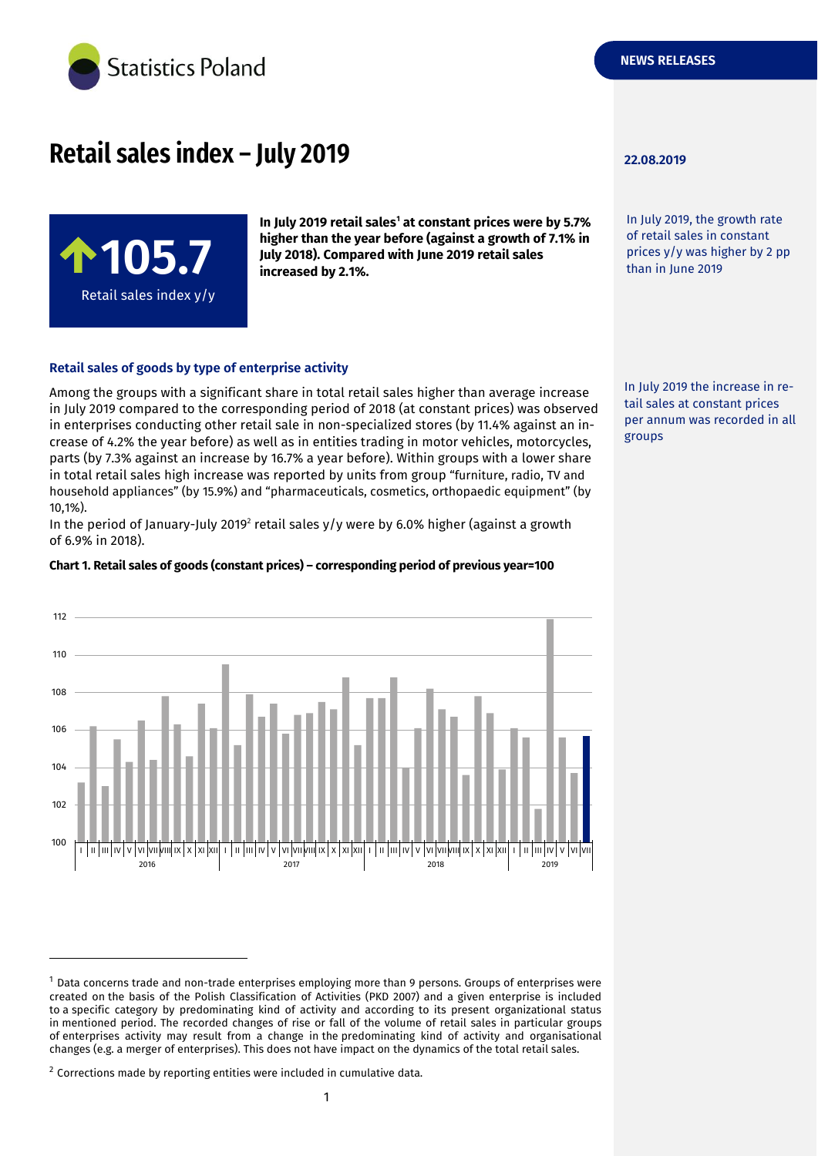

# **Retail sales index – July 2019 22.08.2019**



**In July 2019 retail sales<sup>1</sup> at constant prices were by 5.7% higher than the year before (against a growth of 7.1% in July 2018). Compared with June 2019 retail sales increased by 2.1%.**

#### **Retail sales of goods by type of enterprise activity**

Among the groups with a significant share in total retail sales higher than average increase in July 2019 compared to the corresponding period of 2018 (at constant prices) was observed in enterprises conducting other retail sale in non-specialized stores (by 11.4% against an increase of 4.2% the year before) as well as in entities trading in motor vehicles, motorcycles, parts (by 7.3% against an increase by 16.7% a year before). Within groups with a lower share in total retail sales high increase was reported by units from group "furniture, radio, TV and household appliances" (by 15.9%) and "pharmaceuticals, cosmetics, orthopaedic equipment" (by 10,1%).

In the period of January-July 2019<sup>2</sup> retail sales y/y were by 6.0% higher (against a growth of 6.9% in 2018).

#### **Chart 1. Retail sales of goods (constant prices) – corresponding period of previous year=100**



-

In July 2019, the growth rate of retail sales in constant prices y/y was higher by 2 pp than in June 2019

In July 2019 the increase in retail sales at constant prices per annum was recorded in all groups

<sup>1</sup> Data concerns trade and non-trade enterprises employing more than 9 persons. Groups of enterprises were created on the basis of the Polish Classification of Activities (PKD 2007) and a given enterprise is included to a specific category by predominating kind of activity and according to its present organizational status in mentioned period. The recorded changes of rise or fall of the volume of retail sales in particular groups of enterprises activity may result from a change in the predominating kind of activity and organisational changes (e.g. a merger of enterprises). This does not have impact on the dynamics of the total retail sales.

 $2$  Corrections made by reporting entities were included in cumulative data.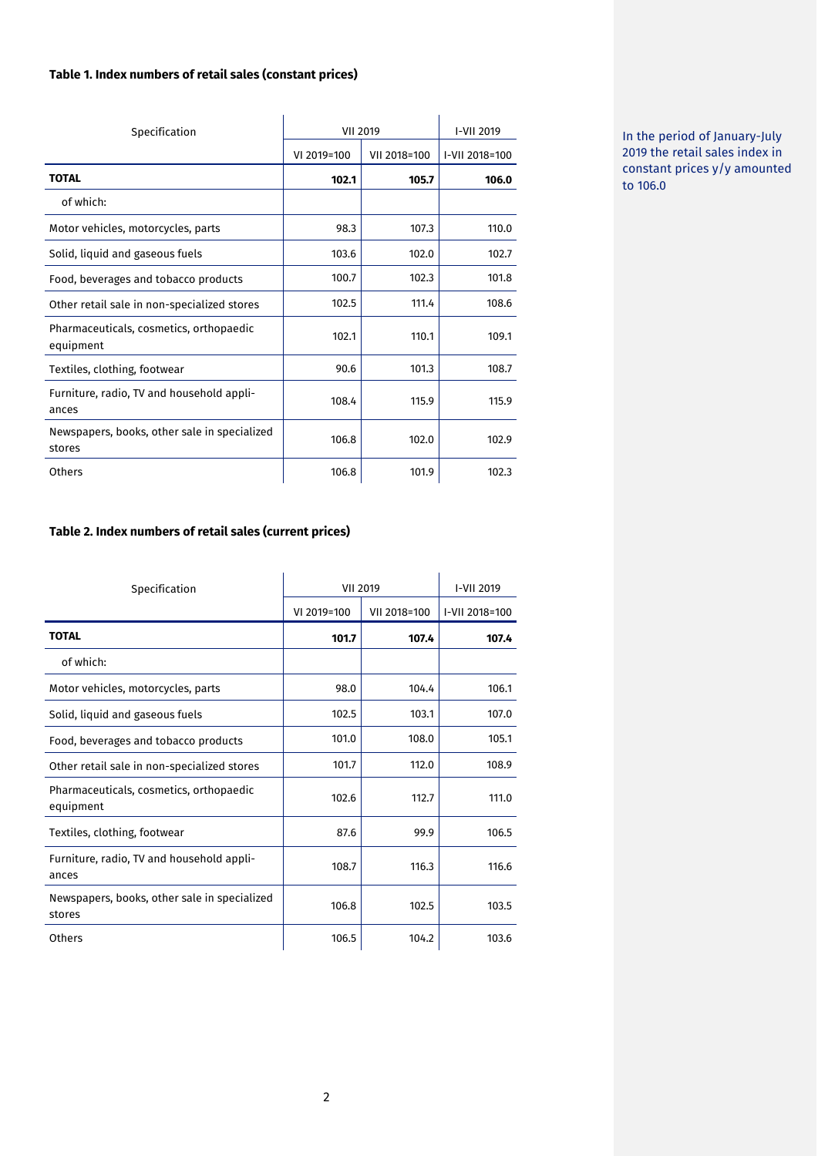#### **Table 1. Index numbers of retail sales (constant prices)**

| Specification                                          | <b>VII 2019</b> |              | I-VII 2019     |
|--------------------------------------------------------|-----------------|--------------|----------------|
|                                                        | VI 2019=100     | VII 2018=100 | I-VII 2018=100 |
| <b>TOTAL</b>                                           | 102.1           | 105.7        | 106.0          |
| of which:                                              |                 |              |                |
| Motor vehicles, motorcycles, parts                     | 98.3            | 107.3        | 110.0          |
| Solid, liquid and gaseous fuels                        | 103.6           | 102.0        | 102.7          |
| Food, beverages and tobacco products                   | 100.7           | 102.3        | 101.8          |
| Other retail sale in non-specialized stores            | 102.5           | 111.4        | 108.6          |
| Pharmaceuticals, cosmetics, orthopaedic<br>equipment   | 102.1           | 110.1        | 109.1          |
| Textiles, clothing, footwear                           | 90.6            | 101.3        | 108.7          |
| Furniture, radio, TV and household appli-<br>ances     | 108.4           | 115.9        | 115.9          |
| Newspapers, books, other sale in specialized<br>stores | 106.8           | 102.0        | 102.9          |
| Others                                                 | 106.8           | 101.9        | 102.3          |

In the period of January-July 2019 the retail sales index in constant prices y/y amounted to 106.0

#### **Table 2. Index numbers of retail sales (current prices)**

| Specification                                          | <b>VII 2019</b> |              | I-VII 2019     |
|--------------------------------------------------------|-----------------|--------------|----------------|
|                                                        | VI 2019=100     | VII 2018=100 | I-VII 2018=100 |
| <b>TOTAL</b>                                           | 101.7           | 107.4        | 107.4          |
| of which:                                              |                 |              |                |
| Motor vehicles, motorcycles, parts                     | 98.0            | 104.4        | 106.1          |
| Solid, liquid and gaseous fuels                        | 102.5           | 103.1        | 107.0          |
| Food, beverages and tobacco products                   | 101.0           | 108.0        | 105.1          |
| Other retail sale in non-specialized stores            | 101.7           | 112.0        | 108.9          |
| Pharmaceuticals, cosmetics, orthopaedic<br>equipment   | 102.6           | 112.7        | 111.0          |
| Textiles, clothing, footwear                           | 87.6            | 99.9         | 106.5          |
| Furniture, radio, TV and household appli-<br>ances     | 108.7           | 116.3        | 116.6          |
| Newspapers, books, other sale in specialized<br>stores | 106.8           | 102.5        | 103.5          |
| Others                                                 | 106.5           | 104.2        | 103.6          |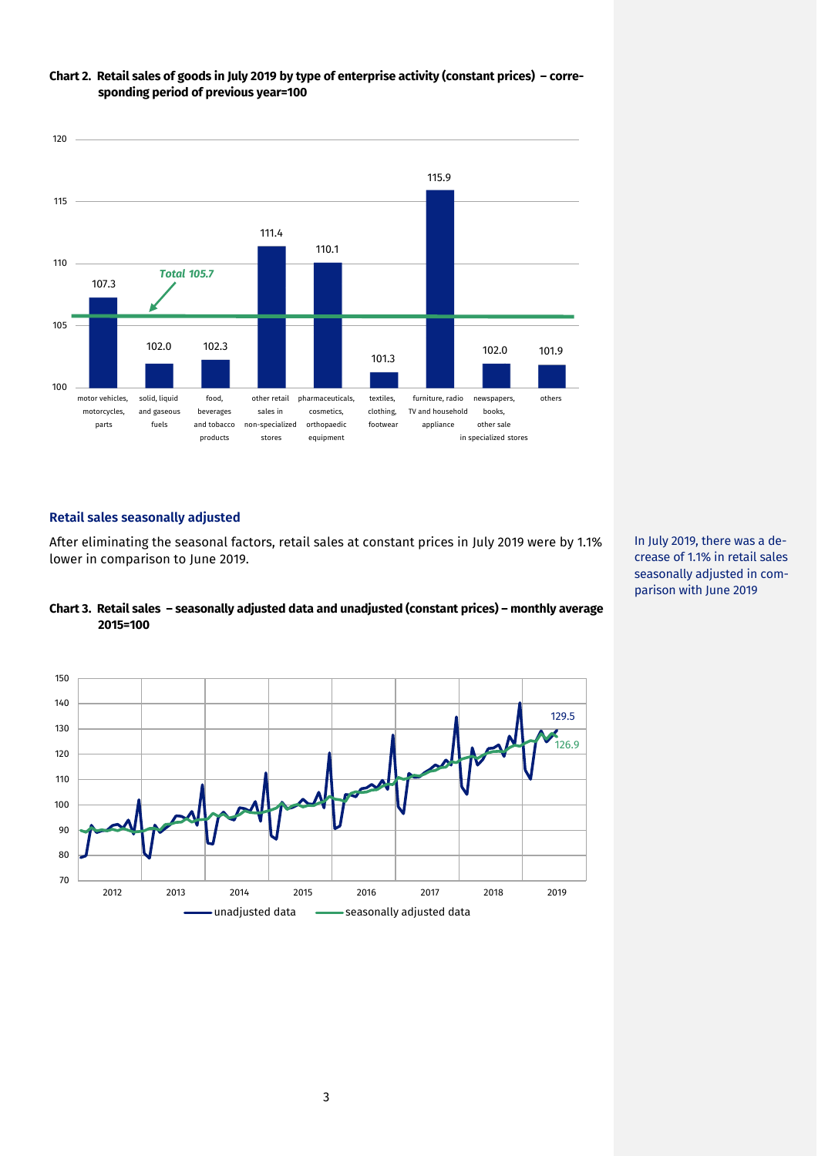

### **Chart 2. Retail sales of goods in July 2019 by type of enterprise activity (constant prices) – corresponding period of previous year=100**

#### **Retail sales seasonally adjusted**

After eliminating the seasonal factors, retail sales at constant prices in July 2019 were by 1.1% lower in comparison to June 2019.





In July 2019, there was a decrease of 1.1% in retail sales seasonally adjusted in comparison with June 2019